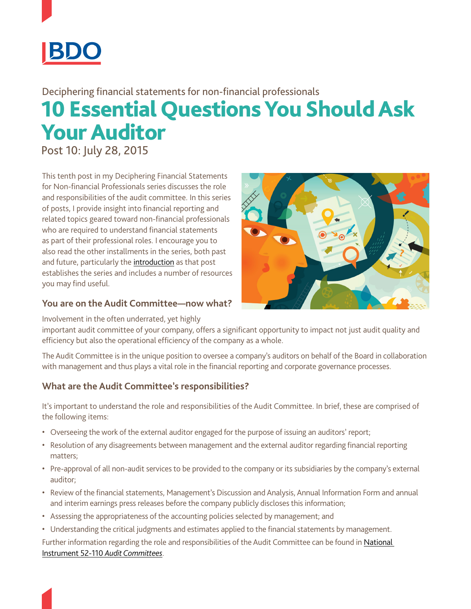

# 10 Essential Questions You Should Ask Your Auditor Deciphering financial statements for non-financial professionals

Post 10: July 28, 2015

This tenth post in my Deciphering Financial Statements for Non-financial Professionals series discusses the role and responsibilities of the audit committee. In this series of posts, I provide insight into financial reporting and related topics geared toward non-financial professionals who are required to understand financial statements as part of their professional roles. I encourage you to also read the other installments in the series, both past and future, particularly the [introduction](https://www.linkedin.com/pulse/20140725174318-11636973-deciphering-financial-statements-for-non-financial-professionals-post-1?trk=mp-reader-card&trk=mp-reader-card) as that post establishes the series and includes a number of resources you may find useful.



### **You are on the Audit Committee—now what?**

Involvement in the often underrated, yet highly

important audit committee of your company, offers a significant opportunity to impact not just audit quality and efficiency but also the operational efficiency of the company as a whole.

The Audit Committee is in the unique position to oversee a company's auditors on behalf of the Board in collaboration with management and thus plays a vital role in the financial reporting and corporate governance processes.

## **What are the Audit Committee's responsibilities?**

It's important to understand the role and responsibilities of the Audit Committee. In brief, these are comprised of the following items:

- • Overseeing the work of the external auditor engaged for the purpose of issuing an auditors' report;
- • Resolution of any disagreements between management and the external auditor regarding financial reporting matters;
- Pre-approval of all non-audit services to be provided to the company or its subsidiaries by the company's external auditor;
- • Review of the financial statements, Management's Discussion and Analysis, Annual Information Form and annual and interim earnings press releases before the company publicly discloses this information;
- Assessing the appropriateness of the accounting policies selected by management; and
- • Understanding the critical judgments and estimates applied to the financial statements by management. Further information regarding the role and responsibilities of the Audit Committee can be found in [National](http://www.osc.gov.on.ca/documents/en/Securities-Category5/rule_20101210_52-110_unofficial-consolidated.pdf)

[Instrument 52-110](http://www.osc.gov.on.ca/documents/en/Securities-Category5/rule_20101210_52-110_unofficial-consolidated.pdf) *Audit Committees*.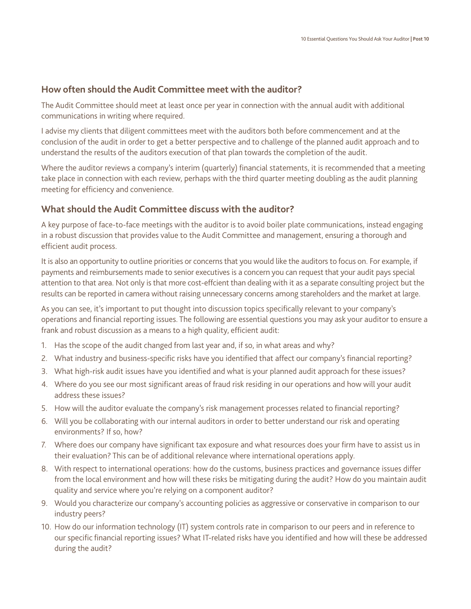#### **How often should the Audit Committee meet with the auditor?**

The Audit Committee should meet at least once per year in connection with the annual audit with additional communications in writing where required.

I advise my clients that diligent committees meet with the auditors both before commencement and at the conclusion of the audit in order to get a better perspective and to challenge of the planned audit approach and to understand the results of the auditors execution of that plan towards the completion of the audit.

Where the auditor reviews a company's interim (quarterly) financial statements, it is recommended that a meeting take place in connection with each review, perhaps with the third quarter meeting doubling as the audit planning meeting for efficiency and convenience.

### **What should the Audit Committee discuss with the auditor?**

A key purpose of face-to-face meetings with the auditor is to avoid boiler plate communications, instead engaging in a robust discussion that provides value to the Audit Committee and management, ensuring a thorough and efficient audit process.

It is also an opportunity to outline priorities or concerns that you would like the auditors to focus on. For example, if payments and reimbursements made to senior executives is a concern you can request that your audit pays special attention to that area. Not only is that more cost-effcient than dealing with it as a separate consulting project but the results can be reported in camera without raising unnecessary concerns among stareholders and the market at large.

As you can see, it's important to put thought into discussion topics specifically relevant to your company's operations and financial reporting issues. The following are essential questions you may ask your auditor to ensure a frank and robust discussion as a means to a high quality, efficient audit:

- 1. Has the scope of the audit changed from last year and, if so, in what areas and why?
- 2. What industry and business-specific risks have you identified that affect our company's financial reporting?
- 3. What high-risk audit issues have you identified and what is your planned audit approach for these issues?
- 4. Where do you see our most significant areas of fraud risk residing in our operations and how will your audit address these issues?
- 5. How will the auditor evaluate the company's risk management processes related to financial reporting?
- 6. Will you be collaborating with our internal auditors in order to better understand our risk and operating environments? If so, how?
- 7. Where does our company have significant tax exposure and what resources does your firm have to assist us in their evaluation? This can be of additional relevance where international operations apply.
- 8. With respect to international operations: how do the customs, business practices and governance issues differ from the local environment and how will these risks be mitigating during the audit? How do you maintain audit quality and service where you're relying on a component auditor?
- 9. Would you characterize our company's accounting policies as aggressive or conservative in comparison to our industry peers?
- 10. How do our information technology (IT) system controls rate in comparison to our peers and in reference to our specific financial reporting issues? What IT-related risks have you identified and how will these be addressed during the audit?